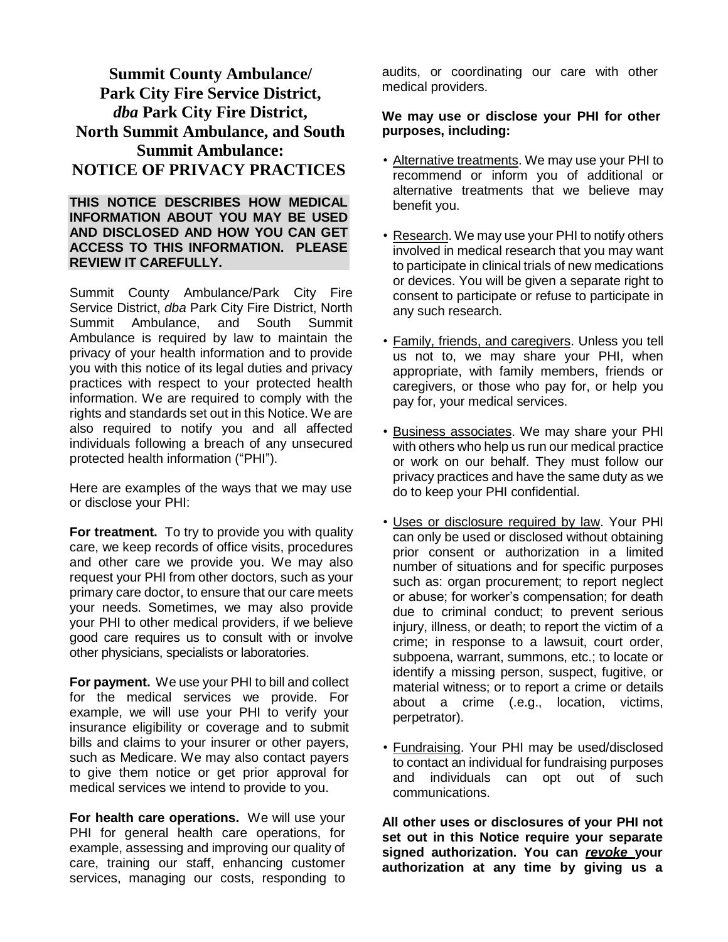# **Summit County Ambulance/ Park City Fire Service District,**  *dba* **Park City Fire District, North Summit Ambulance, and South Summit Ambulance: NOTICE OF PRIVACY PRACTICES**

#### **THIS NOTICE DESCRIBES HOW MEDICAL INFORMATION ABOUT YOU MAY BE USED AND DISCLOSED AND HOW YOU CAN GET ACCESS TO THIS INFORMATION. PLEASE REVIEW IT CAREFULLY.**

Summit County Ambulance/Park City Fire Service District, *dba* Park City Fire District, North Summit Ambulance, and South Summit Ambulance is required by law to maintain the privacy of your health information and to provide you with this notice of its legal duties and privacy practices with respect to your protected health information. We are required to comply with the rights and standards set out in this Notice. We are also required to notify you and all affected individuals following a breach of any unsecured protected health information ("PHI").

Here are examples of the ways that we may use or disclose your PHI:

**For treatment.** To try to provide you with quality care, we keep records of office visits, procedures and other care we provide you. We may also request your PHI from other doctors, such as your primary care doctor, to ensure that our care meets your needs. Sometimes, we may also provide your PHI to other medical providers, if we believe good care requires us to consult with or involve other physicians, specialists or laboratories.

**For payment.** We use your PHI to bill and collect for the medical services we provide. For example, we will use your PHI to verify your insurance eligibility or coverage and to submit bills and claims to your insurer or other payers, such as Medicare. We may also contact payers to give them notice or get prior approval for medical services we intend to provide to you.

**For health care operations.** We will use your PHI for general health care operations, for example, assessing and improving our quality of care, training our staff, enhancing customer services, managing our costs, responding to audits, or coordinating our care with other medical providers.

#### **We may use or disclose your PHI for other purposes, including:**

- Alternative treatments. We may use your PHI to recommend or inform you of additional or alternative treatments that we believe may benefit you.
- Research. We may use your PHI to notify others involved in medical research that you may want to participate in clinical trials of new medications or devices. You will be given a separate right to consent to participate or refuse to participate in any such research.
- Family, friends, and caregivers. Unless you tell us not to, we may share your PHI, when appropriate, with family members, friends or caregivers, or those who pay for, or help you pay for, your medical services.
- Business associates. We may share your PHI with others who help us run our medical practice or work on our behalf. They must follow our privacy practices and have the same duty as we do to keep your PHI confidential.
- Uses or disclosure required by law. Your PHI can only be used or disclosed without obtaining prior consent or authorization in a limited number of situations and for specific purposes such as: organ procurement; to report neglect or abuse; for worker's compensation; for death due to criminal conduct; to prevent serious injury, illness, or death; to report the victim of a crime; in response to a lawsuit, court order, subpoena, warrant, summons, etc.; to locate or identify a missing person, suspect, fugitive, or material witness; or to report a crime or details about a crime (.e.g., location, victims, perpetrator).
- Fundraising. Your PHI may be used/disclosed to contact an individual for fundraising purposes and individuals can opt out of such communications.

**All other uses or disclosures of your PHI not set out in this Notice require your separate signed authorization. You can** *revoke* **your authorization at any time by giving us a**